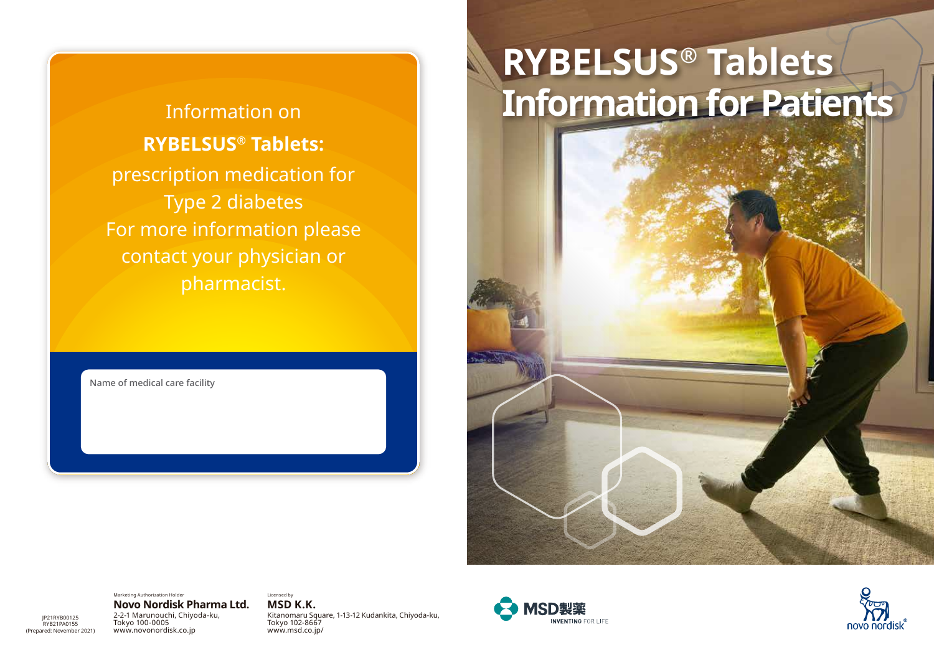**RYBELSUS® Tablets:** prescription medication for Type 2 diabetes For more information please contact your physician or pharmacist.

Name of medical care facility

# **RYBELSUS® Tablets** Information on **Information for Patients**

Marketing Authorization Holder

#### **Novo Nordisk Pharma Ltd.**

JP21RYB00125 RYB21PA0155 (Prepared: November 2021) 2-2-1 Marunouchi, Chiyoda-ku, Tokyo 100-0005 www.novonordisk.co.jp

**MSD K.K.** Kitanomaru Square, 1-13-12 Kudankita, Chiyoda-ku, Tokyo 102-8667 www.msd.co.jp/

Licensed by



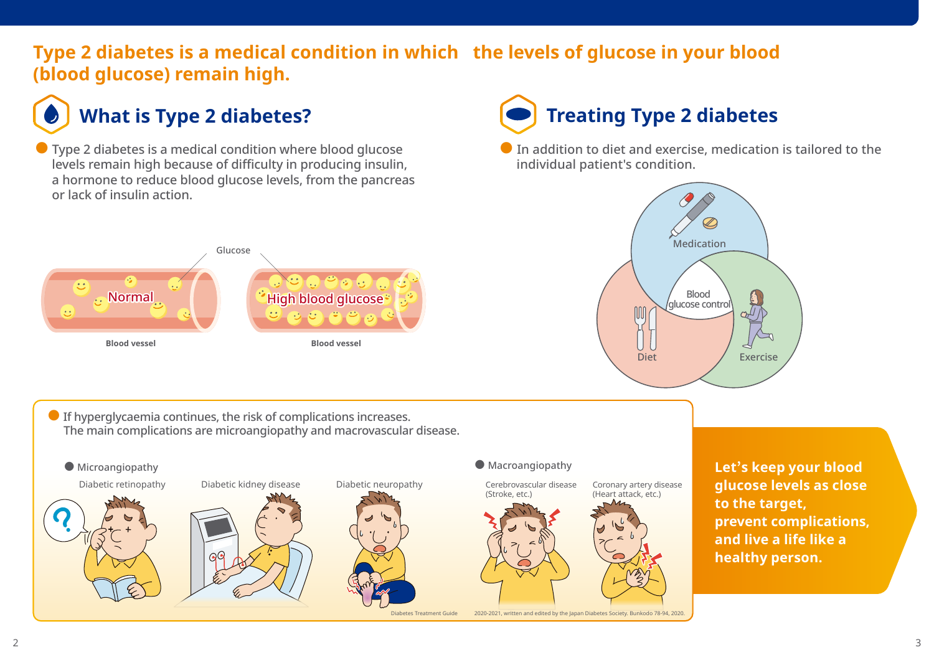### **Type 2 diabetes is a medical condition in which the levels of glucose in your blood (blood glucose) remain high.**

 $\bullet$  Type 2 diabetes is a medical condition where blood glucose levels remain high because of difficulty in producing insulin, a hormone to reduce blood glucose levels, from the pancreas or lack of insulin action.

#### Glucose  $9.9.9.$  $\bullet$ de Normal High blood glucose \*  $\mathcal{F}(\mathbf{e})$ **Blood vessel Blood vessel**

# **What is Type 2 diabetes? Treating Type 2 diabetes**

 $\bullet$  In addition to diet and exercise, medication is tailored to the individual patient's condition.



 $\bullet$  If hyperglycaemia continues, the risk of complications increases. The main complications are microangiopathy and macrovascular disease.



**Let's keep your blood glucose levels as close to the target, prevent complications, and live a life like a healthy person.**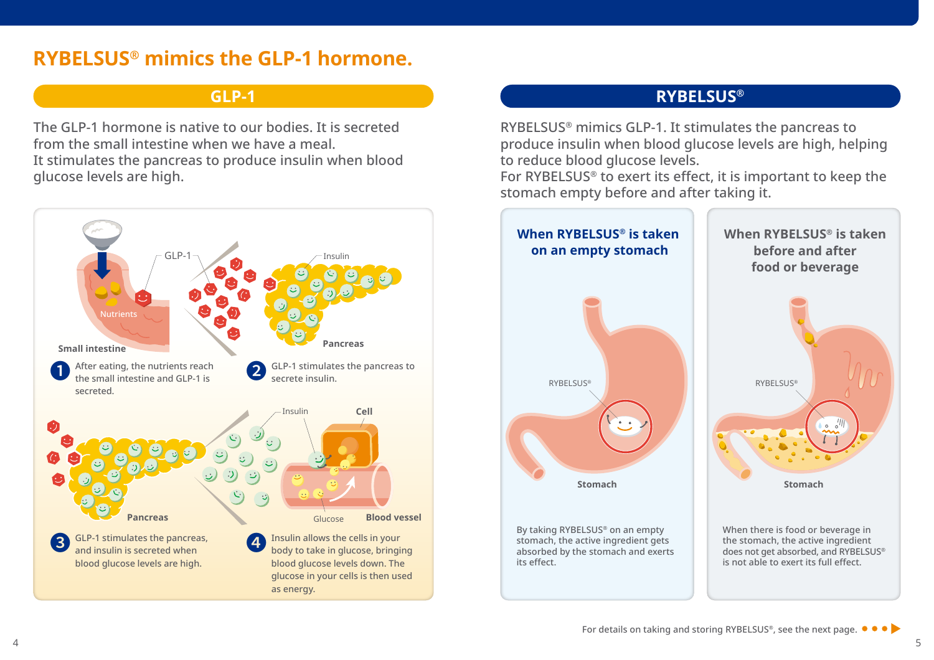## **RYBELSUS® mimics the GLP-1 hormone.**

The GLP-1 hormone is native to our bodies. It is secreted from the small intestine when we have a meal.

It stimulates the pancreas to produce insulin when blood glucose levels are high.



#### **GLP-1 RYBELSUS®**

RYBELSUS® mimics GLP-1. It stimulates the pancreas to produce insulin when blood glucose levels are high, helping to reduce blood glucose levels.

For RYBELSUS® to exert its effect, it is important to keep the stomach empty before and after taking it.

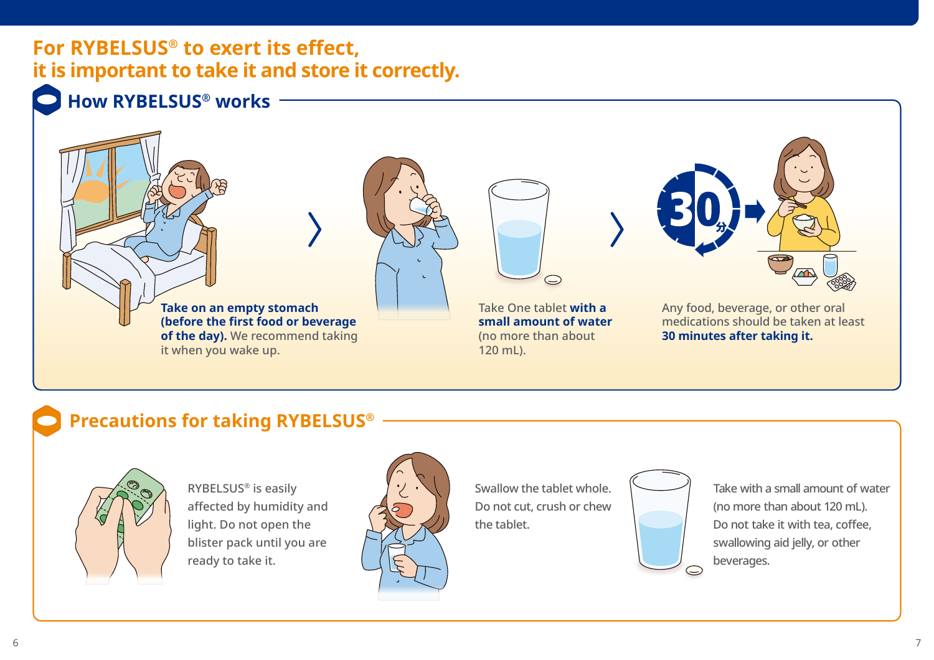## **For RYBELSUS® to exert its effect, it is important to take it and store it correctly.**



# **How RYBELSUS® works**



### **Precautions for taking RYBELSUS®**



RYBELSUS® is easily affected by humidity and light. Do not open the blister pack until you are ready to take it.



Swallow the tablet whole. Do not cut, crush or chew the tablet.



Take with a small amount of water (no more than about 120 mL). Do not take it with tea, coffee, swallowing aid jelly, or other beverages.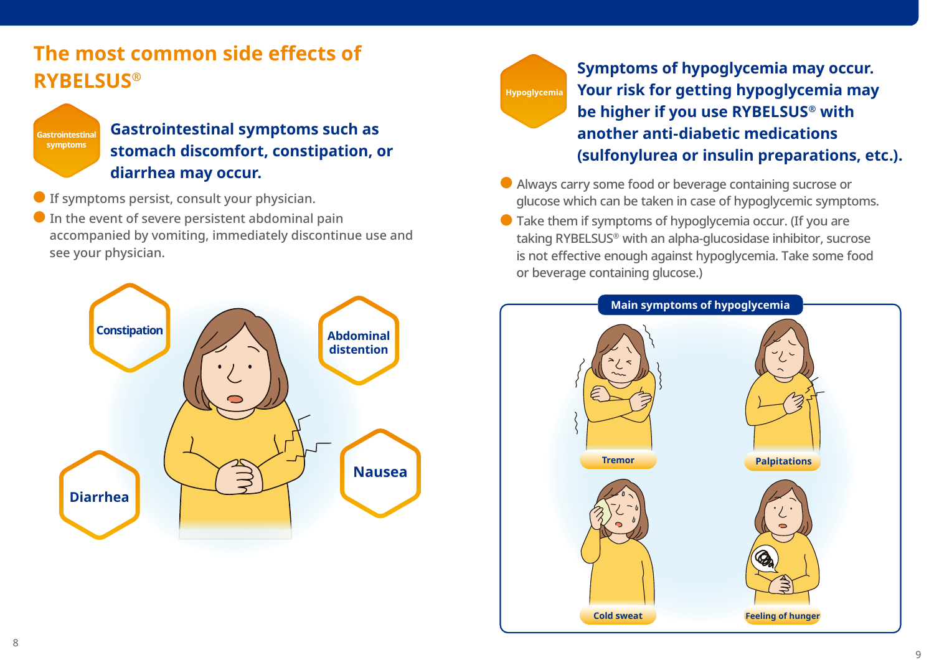# **The most common side effects of RYBELSUS®**



#### **Gastrointestinal symptoms such as stomach discomfort, constipation, or diarrhea may occur.**

- If symptoms persist, consult your physician.
- $\bullet$  In the event of severe persistent abdominal pain accompanied by vomiting, immediately discontinue use and see your physician.





**Symptoms of hypoglycemia may occur. Your risk for getting hypoglycemia may be higher if you use RYBELSUS® with another anti-diabetic medications (sulfonylurea or insulin preparations, etc.).**

- Always carry some food or beverage containing sucrose or glucose which can be taken in case of hypoglycemic symptoms.
- $\bullet$  Take them if symptoms of hypoglycemia occur. (If you are taking RYBELSUS® with an alpha-glucosidase inhibitor, sucrose is not effective enough against hypoglycemia. Take some food or beverage containing glucose.)